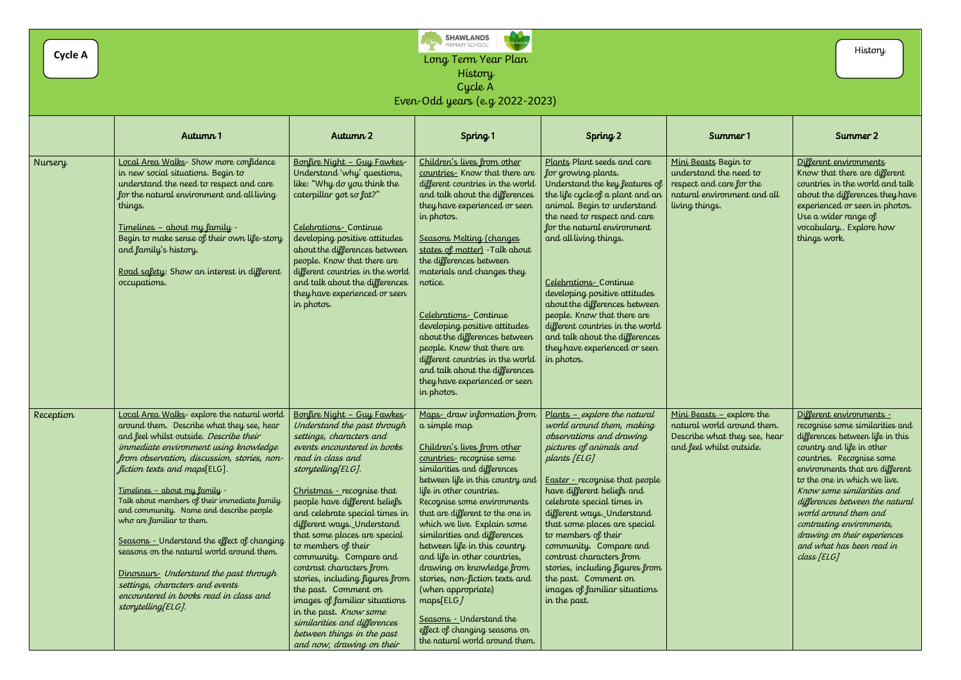

Long Term Year Plan History Cycle A

| Cycle A<br>Even-Odd years (e.g. 2022-2023) |                                                                                                                                                                                                                                                                                                                                                                                                                                                                                                                                                                                                                                                                       |                                                                                                                                                                                                                                                                                                                                                                                                                                                                                                                                                                                                                              |                                                                                                                                                                                                                                                                                                                                                                                                                                                                                                                                                                                                           |                                                                                                                                                                                                                                                                                                                                                                                                                                                                                                 |                                                                                                                             |                                                                                                                                                                                                                                                                                                                                                                                                                                 |
|--------------------------------------------|-----------------------------------------------------------------------------------------------------------------------------------------------------------------------------------------------------------------------------------------------------------------------------------------------------------------------------------------------------------------------------------------------------------------------------------------------------------------------------------------------------------------------------------------------------------------------------------------------------------------------------------------------------------------------|------------------------------------------------------------------------------------------------------------------------------------------------------------------------------------------------------------------------------------------------------------------------------------------------------------------------------------------------------------------------------------------------------------------------------------------------------------------------------------------------------------------------------------------------------------------------------------------------------------------------------|-----------------------------------------------------------------------------------------------------------------------------------------------------------------------------------------------------------------------------------------------------------------------------------------------------------------------------------------------------------------------------------------------------------------------------------------------------------------------------------------------------------------------------------------------------------------------------------------------------------|-------------------------------------------------------------------------------------------------------------------------------------------------------------------------------------------------------------------------------------------------------------------------------------------------------------------------------------------------------------------------------------------------------------------------------------------------------------------------------------------------|-----------------------------------------------------------------------------------------------------------------------------|---------------------------------------------------------------------------------------------------------------------------------------------------------------------------------------------------------------------------------------------------------------------------------------------------------------------------------------------------------------------------------------------------------------------------------|
|                                            | Autumn 1                                                                                                                                                                                                                                                                                                                                                                                                                                                                                                                                                                                                                                                              | Autumn 2                                                                                                                                                                                                                                                                                                                                                                                                                                                                                                                                                                                                                     | Spring 1                                                                                                                                                                                                                                                                                                                                                                                                                                                                                                                                                                                                  | Spring 2                                                                                                                                                                                                                                                                                                                                                                                                                                                                                        | Summer 1                                                                                                                    | Summer 2                                                                                                                                                                                                                                                                                                                                                                                                                        |
| Nursery                                    | Local Area Walks- Show more confidence<br>in new social situations. Begin to<br>understand the need to respect and care<br>for the natural environment and all living<br>things.<br><u> Timelines – about my family -</u><br>Begin to make sense of their own life-story<br>and family's history.<br>Road safety: Show an interest in different<br>occupations.                                                                                                                                                                                                                                                                                                       | Bonlire Night - Guy Fawkes<br>Understand 'why' questions,<br>like: "Why do you think the<br>caterpillar got so fat?"<br>Celebrations-Continue<br>developing positive attitudes<br>about the differences between<br>people. Know that there are<br>different countries in the world<br>and talk about the differences<br>they have experienced or seen<br>in photos.                                                                                                                                                                                                                                                          | Children's lives from other<br>countries. Know that there are<br>different countries in the world<br>and talk about the differences<br>they have experienced or seen<br>in photos.<br>Seasons Melting (changes<br>states of matter) - Talk about<br>the differences between<br>materials and changes they<br>notice.<br>Celebrations-Continue<br>developing positive attitudes<br>about the differences between<br>people. Know that there are<br>different countries in the world<br>and talk about the differences<br>they have experienced or seen<br>in photos.                                       | Plants Plant seeds and care<br>for growing plants.<br>Understand the key features of<br>the life cycle of a plant and an<br>animal. Begin to understand<br>the need to respect and care<br>for the natural environment<br>and all living things.<br>Celebrations-Continue<br>developing positive attitudes<br>about the differences between<br>people. Know that there are<br>different countries in the world<br>and talk about the differences<br>they have experienced or seen<br>in photos. | Mini Beasts Begin to<br>understand the need to<br>respect and care for the<br>natural environment and all<br>living things. | Different environments<br>Know that there are different<br>countries in the world and talk<br>about the differences they have<br>experienced or seen in photos.<br>Use a wider range of<br>vocabulary Explore how<br>things work.                                                                                                                                                                                               |
| Reception                                  | Local Area Walks- explore the natural world<br>around them. Describe what they see, hear<br>and feel whilst outside. Describe their<br>immediate environment using knowledge<br>from observation, discussion, stories, non-<br>fiction texts and maps[ELG].<br><u> Timelines – about my family -</u><br>Talk about members of their immediate family<br>and community. Name and describe people<br>who are familiar to them.<br>Seasons - Understand the effect of changing<br>seasons on the natural world around them.<br>Dinosaurs- Understand the past through<br>settings, characters and events<br>encountered in books read in class and<br>storytelling[ELG]. | Bonfire Night - Guy Fawkes<br>Understand the past through<br>settings, characters and<br>events encountered in books<br>read in class and<br>storytelling[ELG].<br>Christmas - recognise that<br>people have different beliefs<br>and celebrate special times in<br>different ways. Understand<br>that some places are special<br>to members of their<br>community. Compare and<br>contrast characters from<br>stories, including figures from<br>the past. Comment on<br>images of familiar situations<br>in the past. Know some<br>similarities and differences<br>between things in the past<br>and now, drawing on their | Maps- draw information from<br>a simple map<br>Children's lives from other<br>countries-recognise some<br>similarities and differences<br>between life in this country and<br>life in other countries.<br>Recognise some environments<br>that are different to the one in<br>which we live. Explain some<br>similarities and differences<br>between life in this country<br>and life in other countries,<br>drawing on knowledge from<br>stories, non-fiction texts and<br>(when appropriate)<br>maps[ELG]<br>Seasons - Understand the<br>effect of changing seasons on<br>the natural world around them. | $Plants - explore the natural$<br>world around them, making<br>observations and drawing<br>pictures of animals and<br>plants [ELG]<br><b>Easter - recognise that people</b><br>have different beliefs and<br>celebrate special times in<br>different ways. Understand<br>that some places are special<br>to members of their<br>community. Compare and<br>contrast characters from<br>stories, including figures from<br>the past. Comment on<br>images of familiar situations<br>in the past.  | <u>Mini Beasts – explore</u> the<br>natural world around them.<br>Describe what they see, hear<br>and feel whilst outside.  | Different environments -<br>recognise some similarities and<br>differences between life in this<br>country and life in other<br>countries. Recognise some<br>environments that are different<br>to the one in which we live.<br>Know some similarities and<br>differences between the natural<br>world around them and<br>contrasting environments,<br>drawing on their experiences<br>and what has been read in<br>class [ELG] |

**Cycle A**

| History |
|---------|
|---------|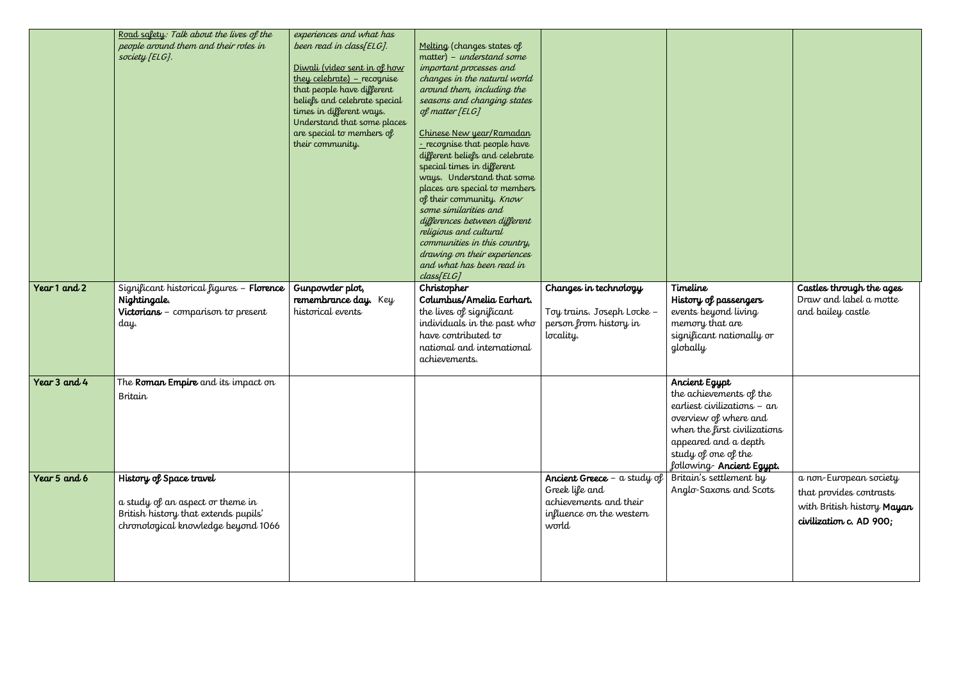|              | Road safety: Talk about the lives of the<br>people around them and their roles in<br>society [ELG].                                        | experiences and what has<br>been read in class[ELG].<br>Diwali (video sent in of how<br>they celebrate) - recognise<br>that people have different<br>beliefs and celebrate special<br>times in different ways.<br>Understand that some places<br>are special to members of<br>their community. | Melting (changes states of<br>matter) - understand some<br>important processes and<br>changes in the natural world<br>around them, including the<br>seasons and changing states<br>of matter [ELG]<br>Chinese New year/Ramadan<br><u>- recognise that people have</u><br>different beliefs and celebrate<br>special times in different<br>ways. Understand that some<br>places are special to members<br>of their community. Know<br>some similarities and<br>differences between different<br>religious and cultural<br>communities in this country,<br>drawing on their experiences<br>and what has been read in<br>class[ELG] |                                                                                                                |                                                                                                                                                                                                             |                                                                                                            |
|--------------|--------------------------------------------------------------------------------------------------------------------------------------------|------------------------------------------------------------------------------------------------------------------------------------------------------------------------------------------------------------------------------------------------------------------------------------------------|----------------------------------------------------------------------------------------------------------------------------------------------------------------------------------------------------------------------------------------------------------------------------------------------------------------------------------------------------------------------------------------------------------------------------------------------------------------------------------------------------------------------------------------------------------------------------------------------------------------------------------|----------------------------------------------------------------------------------------------------------------|-------------------------------------------------------------------------------------------------------------------------------------------------------------------------------------------------------------|------------------------------------------------------------------------------------------------------------|
| Year 1 and 2 | Significant historical figures - Florence<br>Nightingale.<br>Victorians - comparison to present<br>day.                                    | Gunpowder plot,<br>remembrance day. Key<br>historical events                                                                                                                                                                                                                                   | Christopher<br>Columbus/Amelia Earhart.<br>the lives of significant<br>individuals in the past who<br>have contributed to<br>national and international<br>achievements.                                                                                                                                                                                                                                                                                                                                                                                                                                                         | Changes in technology<br>Toy trains. Joseph Locke -<br>person from history in<br>locality.                     | Timeline<br>History of passengers<br>events beyond living<br>memory that are<br>significant nationally or<br>globally                                                                                       | Castles through the ages<br>Draw and label a motte<br>and bailey castle                                    |
| Year 3 and 4 | The Roman Empire and its impact on<br>Britain                                                                                              |                                                                                                                                                                                                                                                                                                |                                                                                                                                                                                                                                                                                                                                                                                                                                                                                                                                                                                                                                  |                                                                                                                | Ancient Egypt<br>the achievements of the<br>earliest civilizations - an<br>overview of where and<br>when the first civilizations<br>appeared and a depth<br>study of one of the<br>following-Ancient Egypt. |                                                                                                            |
| Year 5 and 6 | History of Space travel<br>a study of an aspect or theme in<br>British history that extends pupils'<br>chronological knowledge beyond 1066 |                                                                                                                                                                                                                                                                                                |                                                                                                                                                                                                                                                                                                                                                                                                                                                                                                                                                                                                                                  | Ancient Greece - $a$ study of<br>Greek life and<br>achievements and their<br>influence on the western<br>world | Britain's settlement by<br>Anglo-Saxons and Scots                                                                                                                                                           | a non-European society<br>that provides contrasts<br>with British history Mayan<br>civilization c. AD 900; |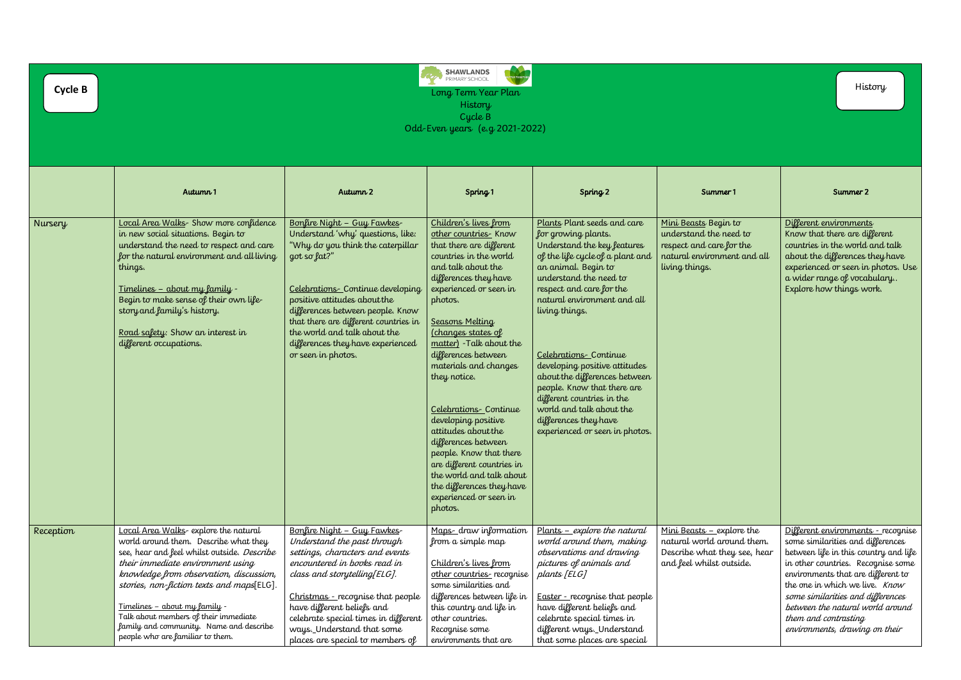|                                                     | History                                                                                                                                                                                                                                                                                                                                                           |
|-----------------------------------------------------|-------------------------------------------------------------------------------------------------------------------------------------------------------------------------------------------------------------------------------------------------------------------------------------------------------------------------------------------------------------------|
| er 1                                                | Summer 2                                                                                                                                                                                                                                                                                                                                                          |
| n to<br>ieed to<br>for the<br>vent and all          | Different environments<br>Know that there are different<br>countries in the world and talk<br>about the differences they have<br>experienced or seen in photos. Use<br>a wider range of vocabulary<br>Explore how things work.                                                                                                                                    |
| plore the<br>ound them.<br>iey see, hear<br>utside. | Different environments - recognise<br>some similarities and differences<br>between life in this country and life<br>in other countries. Recognise some<br>environments that are different to<br>the one in which we live. Know<br>some similarities and differences<br>between the natural world around<br>them and contrasting<br>environments, drawing on their |

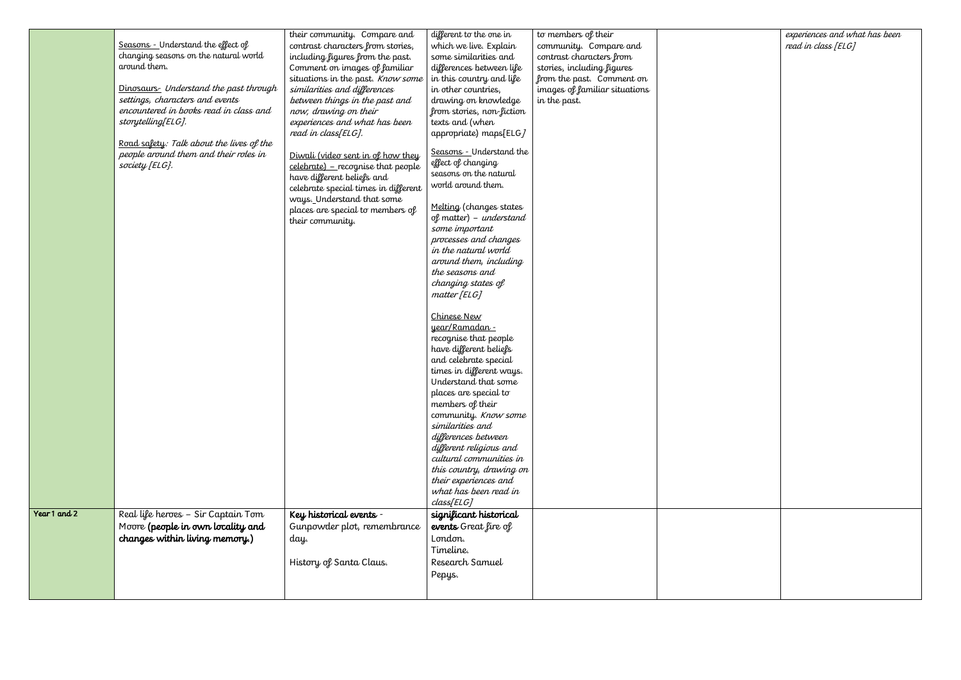|              | Seasons - Understand the effect of                                                                                                        | their community. Compare and<br>contrast characters from stories,                                                                                                              | different to the one in<br>which we live. Explain                                                                     | to members of their<br>community. Compare and                              |  |
|--------------|-------------------------------------------------------------------------------------------------------------------------------------------|--------------------------------------------------------------------------------------------------------------------------------------------------------------------------------|-----------------------------------------------------------------------------------------------------------------------|----------------------------------------------------------------------------|--|
|              | changing seasons on the natural world<br>around them.                                                                                     | including figures from the past.<br>Comment on images of familiar<br>situations in the past. Know some                                                                         | some similarities and<br>differences between life<br>in this country and life                                         | contrast characters from<br>stories, including figures                     |  |
|              | Dinosaurs- Understand the past through<br>settings, characters and events<br>encountered in books read in class and<br>storytelling[ELG]. | similarities and differences<br>between things in the past and<br>now, drawing on their<br>experiences and what has been<br>read in class[ELG].                                | in other countries,<br>drawing on knowledge<br>from stories, non-fiction<br>texts and (when<br>appropriate) maps[ELG] | from the past. Comment on<br>images of familiar situations<br>in the past. |  |
|              | Road safety: Talk about the lives of the<br>people around them and their roles in<br>society $[ELG].$                                     | Diwali (video sent in of how they<br>$celebrate$ ) – recognise that people<br>have different beliefs and<br>celebrate special times in different<br>ways. Understand that some | Seasons - Understand the<br>effect of changing<br>seasons on the natural<br>world around them.                        |                                                                            |  |
|              |                                                                                                                                           | places are special to members of<br>their community.                                                                                                                           | Melting (changes states<br>of matter) - understand<br>some important<br>processes and changes<br>in the natural world |                                                                            |  |
|              |                                                                                                                                           |                                                                                                                                                                                | around them, including<br>the seasons and<br>changing states of<br>matter [ELG]                                       |                                                                            |  |
|              |                                                                                                                                           |                                                                                                                                                                                | Chinese New<br><u>year/Ramadan - </u><br>recognise that people<br>have different beliefs<br>and celebrate special     |                                                                            |  |
|              |                                                                                                                                           |                                                                                                                                                                                | times in different ways.<br>Understand that some<br>places are special to<br>members of their                         |                                                                            |  |
|              |                                                                                                                                           |                                                                                                                                                                                | community. Know some<br>similarities and<br>differences between<br>different religious and<br>cultural communities in |                                                                            |  |
|              |                                                                                                                                           |                                                                                                                                                                                | this country, drawing on<br>their experiences and<br>what has been read in<br>class[ELG]                              |                                                                            |  |
| Year 1 and 2 | Real life heroes - Sir Captain Tom<br>Moore (people in own locality and<br>changes within living memory.)                                 | Key historical events -<br>Gunpowder plot, remembrance<br>day.                                                                                                                 | significant historical<br><b>events</b> Great fire of<br>London.<br>Timeline.                                         |                                                                            |  |
|              |                                                                                                                                           | History of Santa Claus.                                                                                                                                                        | Research Samuel<br>Pepys.                                                                                             |                                                                            |  |

| experiences and what has been |
|-------------------------------|
| read in class [ELG]           |
|                               |
|                               |
|                               |
|                               |
|                               |
|                               |
|                               |
|                               |
|                               |
|                               |
|                               |
|                               |
|                               |
|                               |
|                               |
|                               |
|                               |
|                               |
|                               |
|                               |
|                               |
|                               |
|                               |
|                               |
|                               |
|                               |
|                               |
|                               |
|                               |
|                               |
|                               |
|                               |
|                               |
|                               |
|                               |
|                               |
|                               |
|                               |
|                               |
|                               |
|                               |
|                               |
|                               |
|                               |
|                               |
|                               |
|                               |
|                               |
|                               |
|                               |
|                               |
|                               |
|                               |
|                               |
|                               |
|                               |
|                               |
|                               |
|                               |
|                               |
|                               |